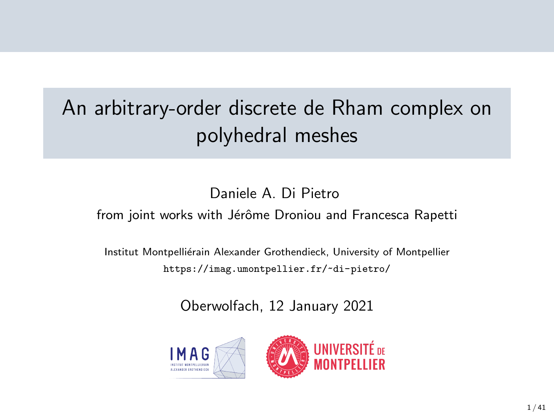## An arbitrary-order discrete de Rham complex on polyhedral meshes

### Daniele A. Di Pietro

from joint works with Jérôme Droniou and Francesca Rapetti

Institut Montpelliérain Alexander Grothendieck, University of Montpellier <https://imag.umontpellier.fr/~di-pietro/>

Oberwolfach, 12 January 2021



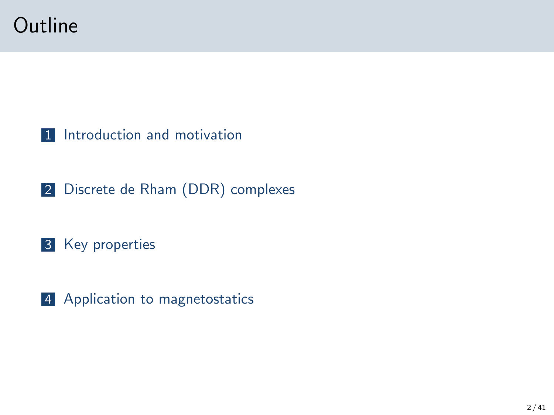

[Introduction and motivation](#page-2-0)

[Discrete de Rham \(DDR\) complexes](#page-10-0)

[Key properties](#page-25-0)

[Application to magnetostatics](#page-31-0)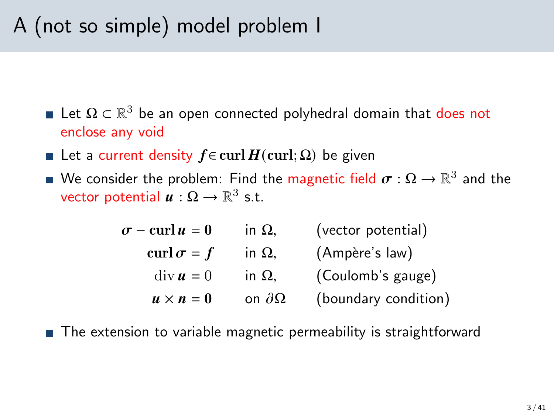## <span id="page-2-0"></span>A (not so simple) model problem I

- Let  $\Omega \subset \mathbb{R}^3$  be an open connected polyhedral domain that does not enclose any void
- **■** Let a current density  $f \in \text{curl } H(\text{curl}; \Omega)$  be given
- We consider the problem: Find the <mark>magnetic field  $\boldsymbol{\sigma}:\Omega\to\mathbb{R}^3$  and the</mark> vector potential  $\boldsymbol{u}:\Omega\to\mathbb{R}^3$  s.t.

| $\sigma$ – curl $u=0$            | in $\Omega$ ,       | (vector potential)   |
|----------------------------------|---------------------|----------------------|
| curl $\sigma = f$                | in $\Omega$ ,       | (Ampère's law)       |
| $\mathrm{div}\,\boldsymbol{u}=0$ | in $\Omega$ ,       | (Coulomb's gauge)    |
| $u \times n = 0$                 | on $\partial\Omega$ | (boundary condition) |

■ The extension to variable magnetic permeability is straightforward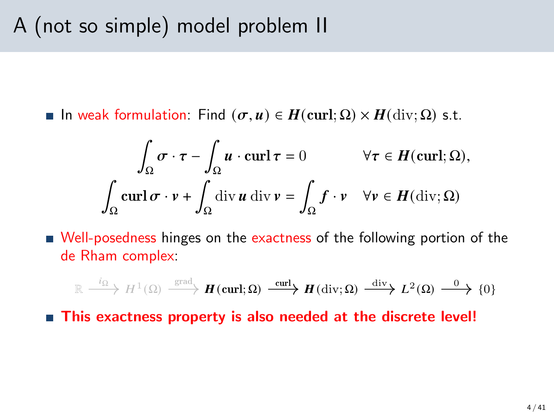**■** In weak formulation: Find  $(σ, u) ∈ H$ (curl; Ω)  $× H$ (div; Ω) s.t.

$$
\int_{\Omega} \sigma \cdot \tau - \int_{\Omega} u \cdot \operatorname{curl} \tau = 0 \qquad \forall \tau \in H(\operatorname{curl}; \Omega),
$$

$$
\int_{\Omega} \operatorname{curl} \sigma \cdot v + \int_{\Omega} \operatorname{div} u \operatorname{div} v = \int_{\Omega} f \cdot v \quad \forall v \in H(\operatorname{div}; \Omega)
$$

■ Well-posedness hinges on the exactness of the following portion of the de Rham complex:

$$
\mathbb{R} \xrightarrow{i_{\Omega}} H^{1}(\Omega) \xrightarrow{\text{grad}} \mathbf{H}(\text{curl};\Omega) \xrightarrow{\text{curl}} \mathbf{H}(\text{div};\Omega) \xrightarrow{\text{div}} L^{2}(\Omega) \xrightarrow{0} \{0\}
$$

■ This exactness property is also needed at the discrete level!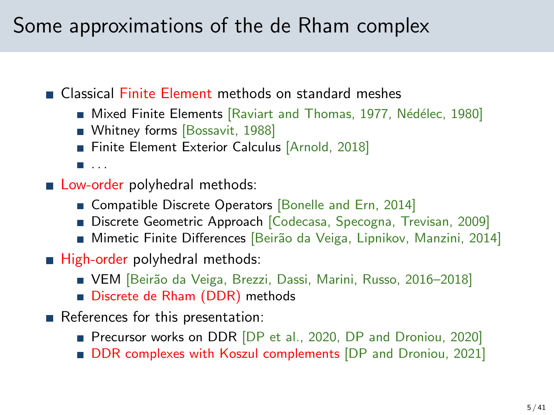### Some approximations of the de Rham complex

Classical Finite Element methods on standard meshes

- Mixed Finite Elements [\[Raviart and Thomas, 1977,](#page-40-0) Nédélec, 1980]
- Whitney forms [\[Bossavit, 1988\]](#page-39-0)
- Finite Element Exterior Calculus [\[Arnold, 2018\]](#page-39-1)

 $\blacksquare$ . . . .

- **Low-order polyhedral methods:** 
	- **Compatible Discrete Operators [\[Bonelle and Ern, 2014\]](#page-39-2)**
	- Discrete Geometric Approach [Codecasa, Specogna, Trevisan, 2009]
	- Mimetic Finite Differences [Beirão da Veiga, Lipnikov, Manzini, 2014]
- $\blacksquare$  High-order polyhedral methods:
	- VEM [Beirão da Veiga, Brezzi, Dassi, Marini, Russo, 2016–2018]
	- Discrete de Rham (DDR) methods
- References for this presentation:
	- **Precursor works on DDR [DP** et al., 2020, [DP and Droniou, 2020\]](#page-39-3)
	- **DDR** complexes with Koszul complements [DP and Droniou, 2021]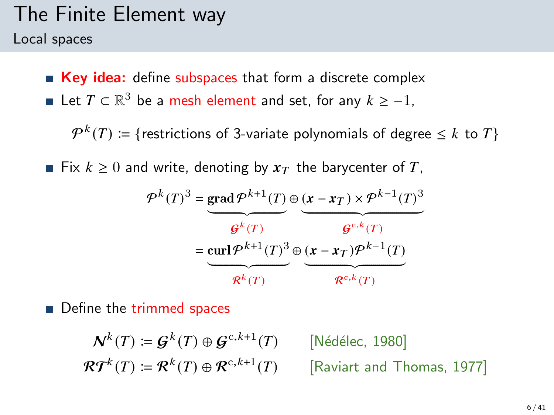## The Finite Element way

Local spaces

**Key idea:** define subspaces that form a discrete complex

Let  $T \subset \mathbb{R}^3$  be a mesh element and set, for any  $k \geq -1$ ,

 $\mathcal{P}^k(T) \coloneqq \{ \text{restrictions of 3-variate polynomials of degree } \leq k \text{ to } T \}$ 

■ Fix  $k \geq 0$  and write, denoting by  $x<sub>T</sub>$  the barycenter of T,

$$
\mathcal{P}^{k}(T)^{3} = \underbrace{\text{grad}\,\mathcal{P}^{k+1}(T)}_{\mathcal{G}^{k}(T)} \oplus \underbrace{(\mathbf{x} - \mathbf{x}_{T}) \times \mathcal{P}^{k-1}(T)^{3}}_{\mathcal{G}^{c,k}(T)}
$$
\n
$$
= \underbrace{\text{curl}\,\mathcal{P}^{k+1}(T)^{3}}_{\mathcal{R}^{k}(T)} \oplus \underbrace{(\mathbf{x} - \mathbf{x}_{T})\mathcal{P}^{k-1}(T)}_{\mathcal{R}^{c,k}(T)}
$$

Define the trimmed spaces

$$
\mathcal{N}^k(T) \coloneqq \mathcal{G}^k(T) \oplus \mathcal{G}^{c,k+1}(T) \qquad \text{[Nédélec, 1980]}
$$
\n
$$
\mathcal{R}\mathcal{T}^k(T) \coloneqq \mathcal{R}^k(T) \oplus \mathcal{R}^{c,k+1}(T) \qquad \text{[Raviart and Thomas, 1977]}
$$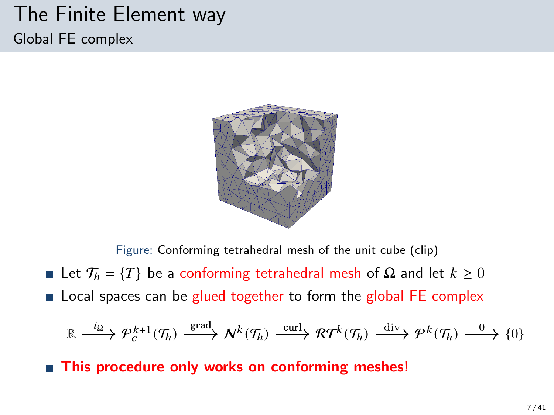### The Finite Element way Global FE complex



Figure: Conforming tetrahedral mesh of the unit cube (clip)

- Let  $\mathcal{T}_h = \{T\}$  be a conforming tetrahedral mesh of  $\Omega$  and let  $k \geq 0$
- **Example 1** Local spaces can be glued together to form the global FE complex

$$
\mathbb{R} \xrightarrow{i_{\Omega}} \mathcal{P}_c^{k+1}(\mathcal{T}_h) \xrightarrow{\text{grad}} \mathcal{N}^k(\mathcal{T}_h) \xrightarrow{\text{curl}} \mathcal{R} \mathcal{T}^k(\mathcal{T}_h) \xrightarrow{\text{div}} \mathcal{P}^k(\mathcal{T}_h) \xrightarrow{0} \{0\}
$$

■ This procedure only works on conforming meshes!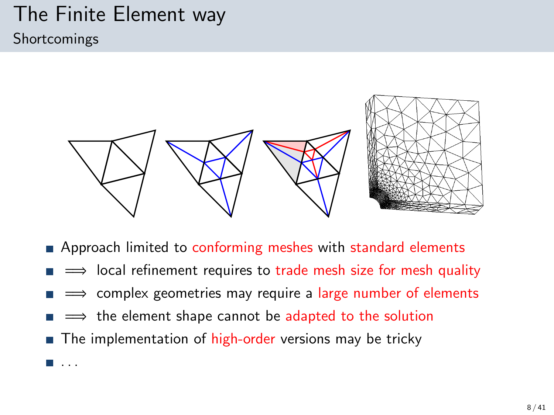### The Finite Element way Shortcomings

 $\blacksquare$ ...



- **Example 2** Approach limited to conforming meshes with standard elements
- ⇒ local refinement requires to trade mesh size for mesh quality
- $\implies$  complex geometries may require a large number of elements
- ⇒ the element shape cannot be adapted to the solution
- $\blacksquare$  The implementation of high-order versions may be tricky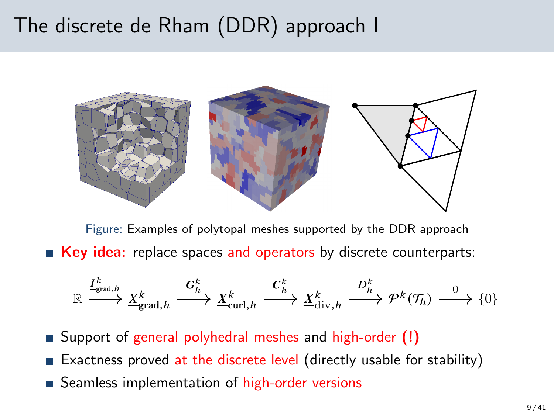### The discrete de Rham (DDR) approach I



Figure: Examples of polytopal meshes supported by the DDR approach ■ Key idea: replace spaces and operators by discrete counterparts:

$$
\mathbb{R} \xrightarrow{I^k_{\text{grad},h}} \underline{X}^k_{\text{grad},h} \xrightarrow{\underline{\mathbf{G}}^k_h} \underline{X}^k_{\text{curl},h} \xrightarrow{\underline{\mathbf{C}}^k_h} \underline{X}^k_{\text{div},h} \xrightarrow{D^k_h} \mathcal{P}^k(\mathcal{T}_h) \xrightarrow{0} \{0\}
$$

- Support of general polyhedral meshes and high-order (!)
- **Exactness proved at the discrete level (directly usable for stability)**
- Seamless implementation of high-order versions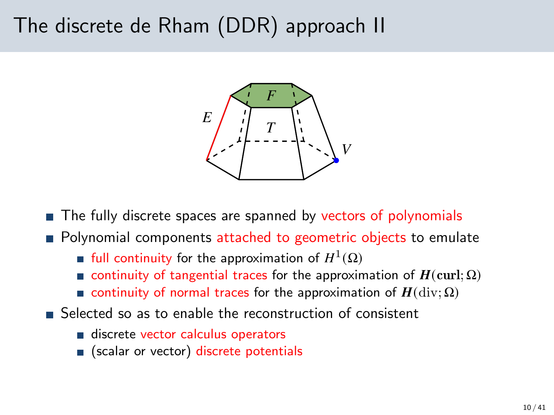### The discrete de Rham (DDR) approach II



■ The fully discrete spaces are spanned by vectors of polynomials

- **Polynomial components attached to geometric objects to emulate** 
	- full continuity for the approximation of  $H^1(\Omega)$
	- continuity of tangential traces for the approximation of  $H(\text{curl}; \Omega)$
	- continuity of normal traces for the approximation of  $H(\text{div}; \Omega)$
- Selected so as to enable the reconstruction of consistent
	- discrete vector calculus operators
	- s (scalar or vector) discrete potentials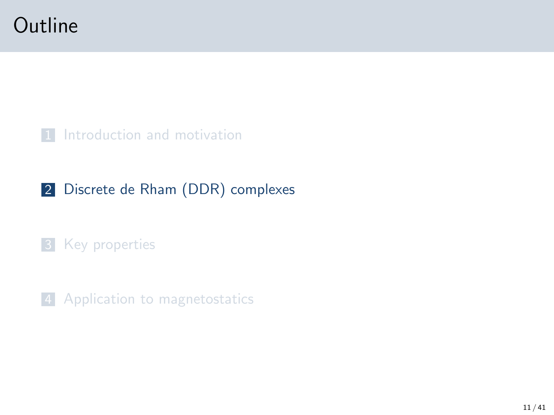### <span id="page-10-0"></span>**Outline**

#### [Introduction and motivation](#page-2-0)

### [Discrete de Rham \(DDR\) complexes](#page-10-0)

#### [Key properties](#page-25-0)

[Application to magnetostatics](#page-31-0)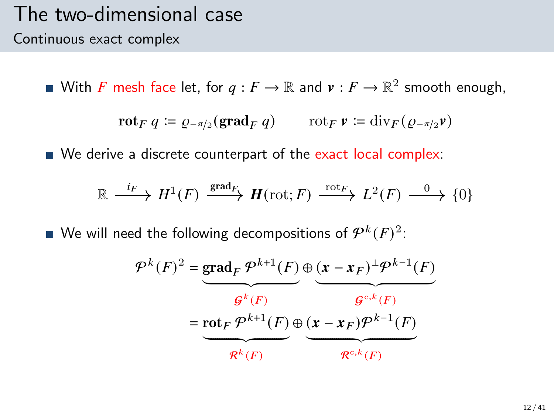### The two-dimensional case Continuous exact complex

With  $F$  mesh face let, for  $q:F\to\mathbb{R}$  and  $v:F\to\mathbb{R}^2$  smooth enough,

$$
\mathbf{rot}_F q \coloneqq \varrho_{-\pi/2}(\mathbf{grad}_F q) \qquad \text{rot}_F \, \mathbf{v} \coloneqq \mathrm{div}_F (\varrho_{-\pi/2} \mathbf{v})
$$

We derive a discrete counterpart of the exact local complex:

$$
\mathbb{R} \xrightarrow{i_F} H^1(F) \xrightarrow{\text{grad}_F} H(\text{rot}; F) \xrightarrow{\text{rot}_F} L^2(F) \xrightarrow{0} \{0\}
$$

We will need the following decompositions of  $\mathcal{P}^k(F)^2$ :

$$
\mathcal{P}^{k}(F)^{2} = \underbrace{\text{grad}_{F} \mathcal{P}^{k+1}(F)}_{\mathcal{G}^{k}(F)} \oplus \underbrace{(\mathbf{x} - \mathbf{x}_{F})^{\perp} \mathcal{P}^{k-1}(F)}_{\mathcal{G}^{c,k}(F)}
$$
\n
$$
= \underbrace{\text{rot}_{F} \mathcal{P}^{k+1}(F)}_{\mathcal{R}^{k}(F)} \oplus \underbrace{(\mathbf{x} - \mathbf{x}_{F}) \mathcal{P}^{k-1}(F)}_{\mathcal{R}^{c,k}(F)}
$$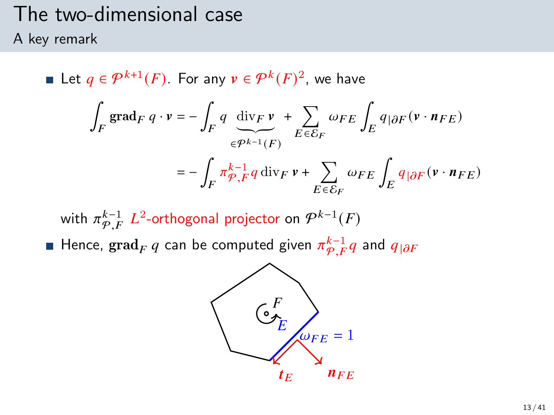# The two-dimensional case

A key remark

Let  $q \in \mathcal{P}^{k+1}(F)$ . For any  $v \in \mathcal{P}^k(F)^2$ , we have ∫  $\int\limits_F\, \mathrm{grad}_F\ q\cdot v = -\, \int\,$  $\int_F q \, \text{div}_F v$  $\widetilde{\epsilon^{p^{k-1}}(F)}$ + Õ  $E\overline{\epsilon}\overline{\mathcal{E}}_F$  $\omega_{FE}\int_E q_{|\partial F}(\mathbf{v}\cdot\mathbf{n}_{FE})$  $=-$  /  $\int_{F} \pi \frac{k-1}{\varphi} q \, \mathrm{div}_F \, \nu + \sum_{F \subset S}$  $E \overline{\epsilon} \overline{\mathcal{E}}_F$  $\omega_{FE} \int_E q_{|\partial F} (v \cdot n_{FE})$ 

with  $\pi^{k-1}_{\mathcal{P},F}$   $L^2$ -orthogonal projector on  $\mathcal{P}^{k-1}(F)$ Hence,  $\operatorname{grad}_F q$  can be computed given  $\pi^{k-1}_{\mathcal{P},F} q$  and  $q_{|\partial F}$ 

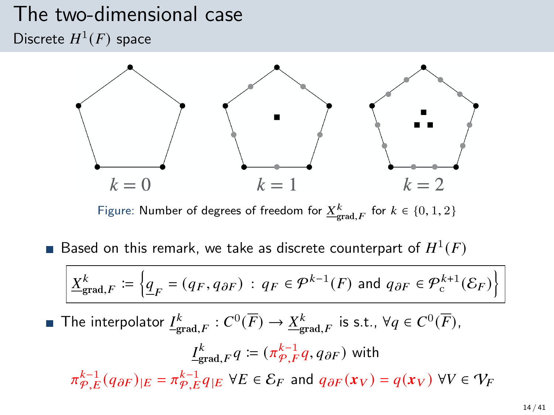### The two-dimensional case Discrete  $H^1(F)$  space



Figure: Number of degrees of freedom for  $\underline{X}^k_{\text{grad},F}$  for  $k \in \{0,1,2\}$ 

Based on this remark, we take as discrete counterpart of  $H^1(F)$ 

$$
\underline{X}_{\text{grad},F}^k \coloneqq \left\{ \underline{q}_F = (q_F, q_{\partial F}) \, : \, q_F \in \mathcal{P}^{k-1}(F) \text{ and } q_{\partial F} \in \mathcal{P}^{k+1}_c(\mathcal{E}_F) \right\}
$$

The interpolator  $\underline{I^k_{\text{grad},F}}:C^0(\overline{F})\to \underline{X^k_{\text{grad},F}}$  is s.t.,  $\forall q\in C^0(\overline{F}),$ 

$$
\underline{I}_{\text{grad},F}^k q := (\pi_{\mathcal{P},F}^{k-1} q, q_{\partial F}) \text{ with}
$$
\n
$$
\pi_{\mathcal{P},E}^{k-1}(q_{\partial F})_{|E} = \pi_{\mathcal{P},E}^{k-1} q_{|E} \ \forall E \in \mathcal{E}_F \text{ and } q_{\partial F}(x_V) = q(x_V) \ \forall V \in \mathcal{V}_F
$$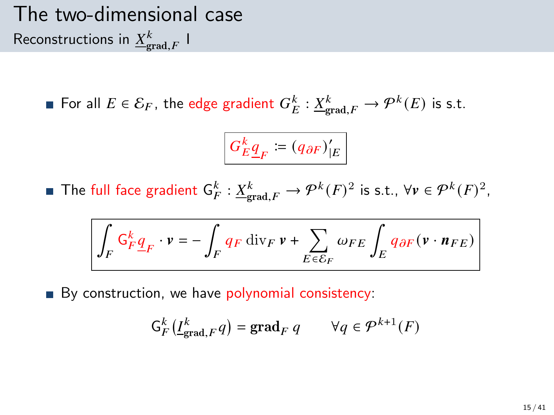### The two-dimensional case Reconstructions in  ${\underline X}^k_{\text{grad},F}$  I

For all  $E \in \mathcal{E}_F$ , the edge gradient  $G_E^k : \underline{X}_{\text{grad},F}^k \to \mathcal{P}^k(E)$  is s.t.

$$
G_E^k \underline{q}_F \coloneqq (q_{\partial F})'_{|E}
$$

The full face gradient  $\mathsf{G}_{F}^k : \underline{X}_{\text{grad},F}^k \to \mathcal{P}^k(F)^2$  is s.t.,  $\forall v \in \mathcal{P}^k(F)^2$ ,

$$
\int_{F} G_{F}^{k} \underline{q}_{F} \cdot \mathbf{v} = -\int_{F} q_{F} \operatorname{div}_{F} \mathbf{v} + \sum_{E \in \mathcal{E}_{F}} \omega_{FE} \int_{E} q_{\partial F} (\mathbf{v} \cdot \mathbf{n}_{FE})
$$

By construction, we have polynomial consistency:

$$
\mathsf{G}_{F}^{k}(\underline{I}_{\mathrm{grad},F}^{k}q)=\mathrm{grad}_{F} q \qquad \forall q \in \mathcal{P}^{k+1}(F)
$$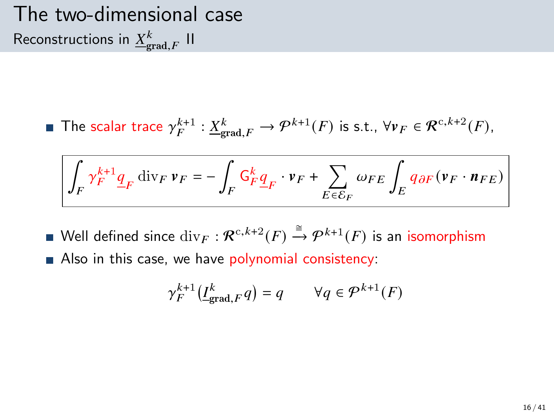### The two-dimensional case Reconstructions in  ${\underline{X}}_{\text{grad},F}^k$  II

The scalar trace  $\gamma_F^{k+1} : \underline{X}^k_{\text{grad},F} \to \mathcal{P}^{k+1}(F)$  is s.t.,  $\forall v_F \in \mathcal{R}^{c,k+2}(F)$ ,

$$
\int_F \gamma_F^{k+1} \underline{q}_F \, {\rm div}_F \, \nu_F = - \int_F \mathsf{G}^k_F \underline{q}_F \cdot \nu_F + \sum_{E \in \mathcal{E}_F} \omega_{FE} \int_E q_{\partial F} (\nu_F \cdot \mathit{n}_{FE})
$$

- Well defined since  $\mathrm{div}_F: \mathcal{R}^{c,k+2}(F) \xrightarrow{\cong} \mathcal{P}^{k+1}(F)$  is an isomorphism
- Also in this case, we have polynomial consistency:

$$
\gamma_F^{k+1}\big(\underline{I}^k_{\text{grad},F}q\big)=q\qquad\forall q\in\mathcal{P}^{k+1}(F)
$$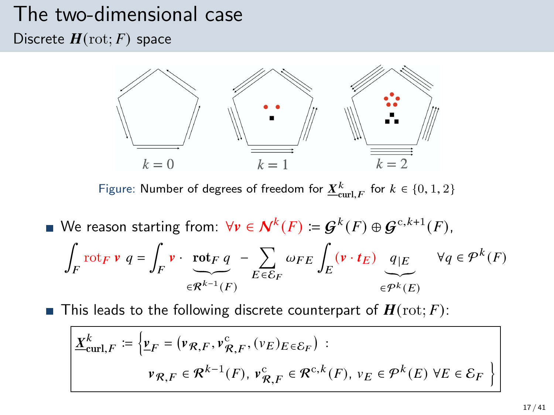## The two-dimensional case

Discrete  $H(\text{rot}; F)$  space



Figure: Number of degrees of freedom for  $\underline{X}^k_{\mathrm{curl},F}$  for  $k \in \{0,1,2\}$ 

We reason starting from:  $\forall v \in \mathcal{N}^k(F) \coloneqq \mathcal{G}^k(F) \oplus \mathcal{G}^{c,k+1}(F)$ , ∫  $\int_{F}$ rot $_{F}$   $\mathbf{v}$   $q = \int_{F}$  $\int_F \mathbf{v} \cdot \mathbf{rot}_F q$  $\widetilde{\in} \widetilde{\mathcal{R}^{k-1}(F)}$ − Õ  $E \overline{\epsilon} \overline{\mathcal{E}}_F$  $\omega_{FE}\int_E\left(\mathbf{v}\cdot\boldsymbol{t}_E\right)\left[q\right]\varepsilon$  $\widetilde{\epsilon^{pk}(E)}$  $\forall q \in \mathcal{P}^k(F)$ 

**This leads to the following discrete counterpart of**  $H(\text{rot}; F)$ **:** 

$$
\underline{X}_{\text{curl},F}^{k} \coloneqq \left\{ \underline{v}_{F} = (\nu_{\mathcal{R},F}, \nu_{\mathcal{R},F}^{c}, (\nu_{E})_{E \in \mathcal{E}_{F}}) : \right.
$$
\n
$$
\nu_{\mathcal{R},F} \in \mathcal{R}^{k-1}(F), \nu_{\mathcal{R},F}^{c} \in \mathcal{R}^{c,k}(F), \nu_{E} \in \mathcal{P}^{k}(E) \,\forall E \in \mathcal{E}_{F} \right\}
$$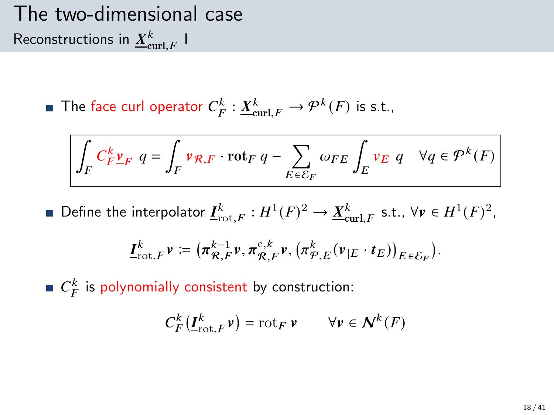The two-dimensional case Reconstructions in  $\underline{X}^k_{\mathrm{curl},F}$  I

The face curl operator  $C_F^k : \underline{X}_{\text{curl},F}^k \to \mathcal{P}^k(F)$  is s.t.,

$$
\int_{F} C_{F}^{k} \underline{v}_{F} \ q = \int_{F} \nu_{\mathcal{R},F} \cdot \mathrm{rot}_{F} \ q - \sum_{E \in \mathcal{E}_{F}} \omega_{FE} \int_{E} \nu_{E} \ q \quad \forall q \in \mathcal{P}^{k}(F)
$$

Define the interpolator  $\underline{I}^k_{\text{rot},F} : H^1(F)^2 \to \underline{X}^k_{\text{curl},F}$  s.t.,  $\forall v \in H^1(F)^2$ ,

$$
\underline{I}^k_{\text{rot},F}\nu \coloneqq \big(\pi_{\mathcal{R},F}^{k-1}\nu, \pi_{\mathcal{R},F}^{c,k}\nu, \big(\pi_{\mathcal{P},E}^k(\nu_{|E}\cdot t_E)\big)_{E\in\mathcal{E}_F}\big).
$$

 $C_F^k$  is polynomially consistent by construction:

$$
C_F^k(\underline{\boldsymbol{I}}_{\text{rot},F}^k \boldsymbol{v}) = \text{rot}_F \, \boldsymbol{v} \qquad \forall \boldsymbol{v} \in \boldsymbol{\mathcal{N}}^k(F)
$$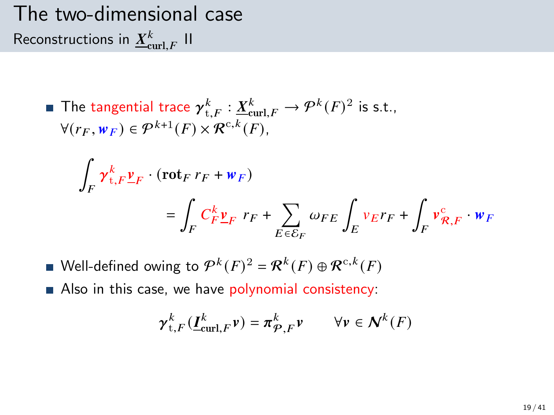The two-dimensional case Reconstructions in  ${\underline X}^k_{\operatorname{curl},F}$  II

 $\overline{\phantom{a}}$ 

The tangential trace 
$$
\gamma_{t,F}^k : \underline{X}_{\text{curl},F}^k \to \mathcal{P}^k(F)^2
$$
 is s.t.,  
 $\forall (r_F, w_F) \in \mathcal{P}^{k+1}(F) \times \mathcal{R}^{c,k}(F)$ ,

$$
\int_{F} \gamma_{t,F}^{k} \underline{v}_{F} \cdot (\text{rot}_{F} r_{F} + w_{F})
$$
\n
$$
= \int_{F} C_{F}^{k} \underline{v}_{F} r_{F} + \sum_{E \in \mathcal{E}_{F}} \omega_{FE} \int_{E} v_{E} r_{F} + \int_{F} v_{R,F}^{c} \cdot w_{F}
$$

- Well-defined owing to  $\mathcal{P}^k(F)^2 = \mathcal{R}^k(F) \oplus \mathcal{R}^{\text{c},k}(F)$
- Also in this case, we have polynomial consistency:

$$
\gamma_{t,F}^k(\underline{I}_{\mathrm{curl},F}^k \nu) = \pi_{\mathcal{P},F}^k \nu \qquad \forall \nu \in \mathcal{N}^k(F)
$$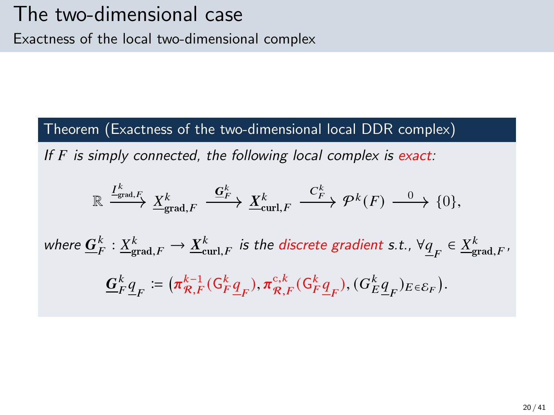#### Theorem (Exactness of the two-dimensional local DDR complex)

If  $F$  is simply connected, the following local complex is exact:

$$
\mathbb{R} \xrightarrow{I_{\text{grad},F}^k} \underline{X}_{\text{grad},F}^k \xrightarrow{\underline{G}_F^k} \underline{X}_{\text{curl},F}^k \xrightarrow{C_F^k} \mathcal{P}^k(F) \xrightarrow{0} \{0\},
$$

where  $\underline{G}^k_F: \underline{X}^k_{\text{grad},F} \to \underline{X}^k_{\text{curl},F}$  is the discrete gradient s.t.,  $\forall \underline{q}_F \in \underline{X}^k_{\text{grad},F}$ ,  $\bar{k}$  $\bar{k}$  $\bar{k}$  $\boldsymbol{k}$ 

$$
\underline{G}_F^k \underline{q}_F \coloneqq \big(\pi_{\mathcal{R},F}^{k-1}(\mathsf{G}_F^k \underline{q}_F), \pi_{\mathcal{R},F}^{c,k}(\mathsf{G}_F^k \underline{q}_F), (\mathsf{G}_E^k \underline{q}_F)_{E \in \mathcal{E}_F}\big).
$$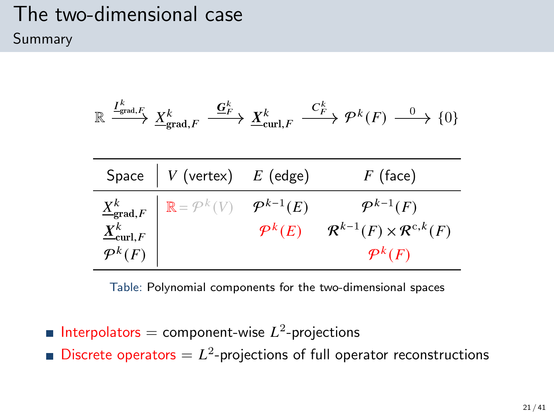### The two-dimensional case Summary

$$
\mathbb{R} \xrightarrow{I^k_{\text{grad},F}} \underline{X}^k_{\text{grad},F} \xrightarrow{\underline{G}^k_{F}} \underline{X}^k_{\text{curl},F} \xrightarrow{C^k_{F}} \mathcal{P}^k(F) \xrightarrow{0} \{0\}
$$

| Space $\begin{array}{ c c c } \hline \end{array}$ V (vertex) $E$ (edge)                                                                                                            | $F$ (face)                                                                   |
|------------------------------------------------------------------------------------------------------------------------------------------------------------------------------------|------------------------------------------------------------------------------|
| $\begin{array}{c c} \underline{X}^k_{\mathsf{grad},F} & \mathbb{R} = \mathcal{P}^k(V) & \mathcal{P}^{k-1}(E) \ \underline{X}^k_{\mathsf{curl},F} & & \mathcal{P}^k(E) \end{array}$ | $\mathcal{P}^{k-1}(F)$<br>$\mathcal{R}^{k-1}(F) \times \mathcal{R}^{c,k}(F)$ |
|                                                                                                                                                                                    | $\mathcal{P}^k(F)$                                                           |

Table: Polynomial components for the two-dimensional spaces

Interpolators = component-wise  $L^2$ -projections Discrete operators  $= L<sup>2</sup>$ -projections of full operator reconstructions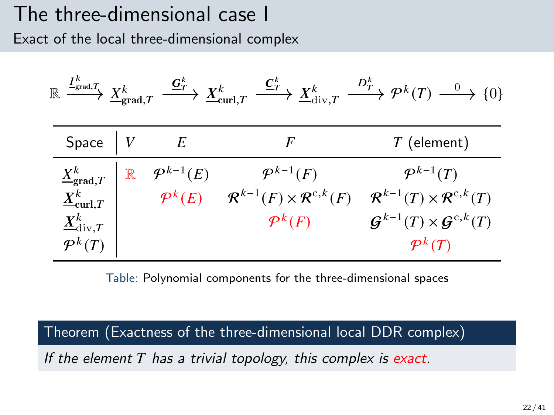### The three-dimensional case I Exact of the local three-dimensional complex

| $\overline{\ \stackrel{I_{\rm grad},T} {\longrightarrow}\ } \underline{X}^k_{\rm grad},$<br>$\mathbb R$ . |             | $\stackrel{\mathbf{G}^k_{T}}{\longrightarrow} \underline{X}^k_{\mathrm{curl}, T}$ | $\stackrel{\underline{\boldsymbol{C}}_T^k}{\longrightarrow} \underline{X}^k_{\mathrm{div},T}$ | $\stackrel{D_T^k}{\longrightarrow} \mathcal{P}^k(T) \stackrel{0}{\longrightarrow} \{0\}$ |
|-----------------------------------------------------------------------------------------------------------|-------------|-----------------------------------------------------------------------------------|-----------------------------------------------------------------------------------------------|------------------------------------------------------------------------------------------|
| Space                                                                                                     |             | E                                                                                 | F                                                                                             | $T$ (element)                                                                            |
| $\underline{X}^k_{\text{grad},T}$                                                                         | $\mathbb R$ | $\mathcal{P}^{k-1}(E)$                                                            | $\mathcal{P}^{k-1}(F)$                                                                        | $\mathcal{P}^{k-1}(T)$                                                                   |
| $\underline{X}^k_{\textnormal{curl},T}$                                                                   |             | $\mathcal{P}^k(E)$                                                                | $\mathcal{R}^{k-1}(F) \times \mathcal{R}^{c,k}(F)$                                            | $\mathcal{R}^{k-1}(T)\times \mathcal{R}^{c,k}(T)$                                        |
| $\underline{X}^k_{\mathrm{div},T}$                                                                        |             |                                                                                   | $\mathcal{P}^k(F)$                                                                            | $\mathcal{G}^{k-1}(T)\times\mathcal{G}^{c,k}(T)$                                         |
| $\mathcal{P}^k(T)$                                                                                        |             |                                                                                   |                                                                                               | $\mathcal{P}^k(T)$                                                                       |

Table: Polynomial components for the three-dimensional spaces

Theorem (Exactness of the three-dimensional local DDR complex)

If the element  $T$  has a trivial topology, this complex is exact.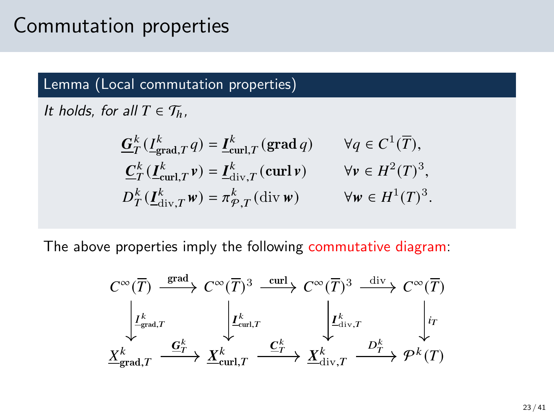### Commutation properties

#### Lemma (Local commutation properties)

It holds, for all  $T \in \mathcal{T}_h$ ,

$$
\begin{aligned}\n\underline{G}_{T}^{k}\left(\underline{I}_{\text{grad},T}^{k}q\right) &= \underline{I}_{\text{curl},T}^{k}\left(\text{grad }q\right) & \forall q \in C^{1}(\overline{T}), \\
\underline{C}_{T}^{k}\left(\underline{I}_{\text{curl},T}^{k}v\right) &= \underline{I}_{\text{div},T}^{k}\left(\text{curl }v\right) & \forall v \in H^{2}(T)^{3}, \\
D_{T}^{k}\left(\underline{I}_{\text{div},T}^{k}w\right) &= \pi_{\mathcal{P},T}^{k}\left(\text{div }w\right) & \forall w \in H^{1}(T)^{3}.\n\end{aligned}
$$

The above properties imply the following commutative diagram:

$$
C^{\infty}(\overline{T}) \xrightarrow{\text{grad}} C^{\infty}(\overline{T})^3 \xrightarrow{\text{curl}} C^{\infty}(\overline{T})^3 \xrightarrow{\text{div}} C^{\infty}(\overline{T})^3
$$
  

$$
\downarrow L_{\text{grad},T}^k \qquad \downarrow L_{\text{curl},T}^k \qquad \downarrow L_{\text{div},T}^k \qquad \downarrow \text{int}
$$
  

$$
\underline{X}_{\text{grad},T}^k \xrightarrow{\underline{G}_T^k} \underline{X}_{\text{curl},T}^k \xrightarrow{\underline{C}_T^k} \underline{X}_{\text{div},T}^k \xrightarrow{D_T^k} \mathcal{P}^k(T)
$$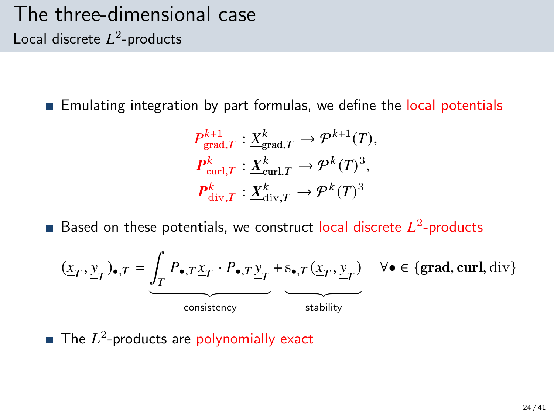### The three-dimensional case Local discrete  $L^2$ -products

**Emulating integration by part formulas, we define the local potentials** 

$$
P_{\text{grad},T}^{k+1} : \underline{X}_{\text{grad},T}^{k} \to \mathcal{P}^{k+1}(T),
$$
  

$$
P_{\text{curl},T}^{k} : \underline{X}_{\text{curl},T}^{k} \to \mathcal{P}^{k}(T)^{3},
$$
  

$$
P_{\text{div},T}^{k} : \underline{X}_{\text{div},T}^{k} \to \mathcal{P}^{k}(T)^{3}
$$

Based on these potentials, we construct local discrete  $L^2$ -products

$$
(\underline{x}_T, \underline{y}_T)_{\bullet, T} = \underbrace{\int_T P_{\bullet, T} \underline{x}_T \cdot P_{\bullet, T} \underline{y}_T}_{\text{consistency}} + \underbrace{s_{\bullet, T} (\underline{x}_T, \underline{y}_T)}_{\text{stability}} \quad \forall \bullet \in \{\text{grad}, \text{curl}, \text{div}\}
$$

The  $L^2$ -products are polynomially exact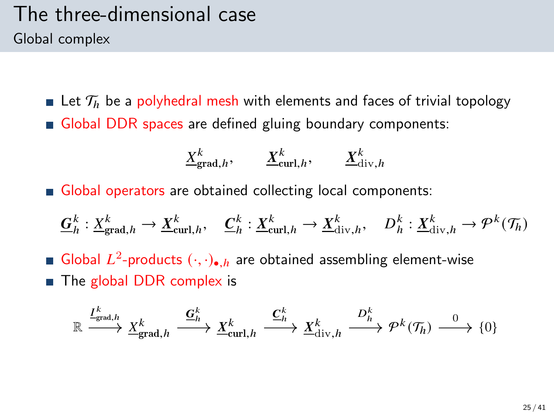### The three-dimensional case Global complex

**Let**  $\mathcal{T}_h$  be a polyhedral mesh with elements and faces of trivial topology Global DDR spaces are defined gluing boundary components:

$$
\underline{X}_{\text{grad},h}^k, \qquad \underline{X}_{\text{curl},h}^k, \qquad \underline{X}_{\text{div},h}^k
$$

Global operators are obtained collecting local components:

$$
\underline{G}_h^k: \underline{X}_{\text{grad},h}^k \to \underline{X}_{\text{curl},h}^k, \quad \underline{C}_h^k: \underline{X}_{\text{curl},h}^k \to \underline{X}_{\text{div},h}^k, \quad D_h^k: \underline{X}_{\text{div},h}^k \to \mathcal{P}^k(\mathcal{T}_h)
$$

Global  $L^2$ -products  $(\cdot, \cdot)_{\bullet, h}$  are obtained assembling element-wise  $\blacksquare$  The global DDR complex is

$$
\mathbb{R} \xrightarrow{I^k_{\text{grad},h}} \underline{X}^k_{\text{grad},h} \xrightarrow{\underline{\mathbf{G}}^k_h} \underline{X}^k_{\text{curl},h} \xrightarrow{\underline{\mathbf{C}}^k_h} \underline{X}^k_{\text{div},h} \xrightarrow{D^k_h} \mathcal{P}^k(\mathcal{T}_h) \xrightarrow{0} \{0\}
$$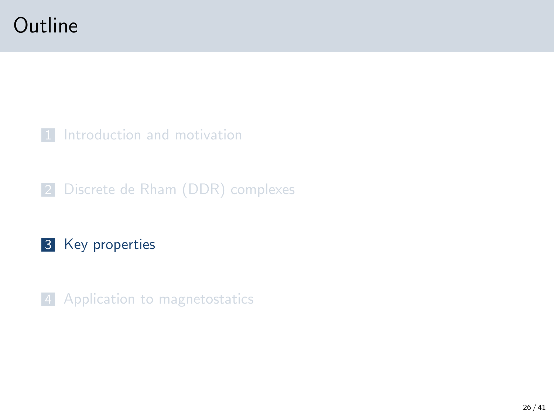### <span id="page-25-0"></span>**Outline**

[Introduction and motivation](#page-2-0)

[Discrete de Rham \(DDR\) complexes](#page-10-0)

#### [Key properties](#page-25-0)

[Application to magnetostatics](#page-31-0)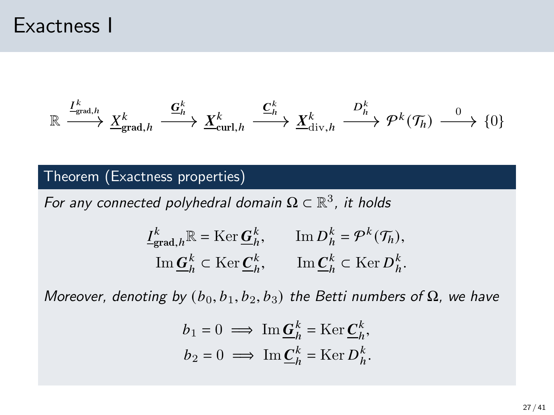### Exactness I

$$
\mathbb{R} \xrightarrow{\underline{I}_{\text{grad},h}^k} \underline{X}_{\text{grad},h}^k \xrightarrow{\underline{G}_h^k} \underline{X}_{\text{curl},h}^k \xrightarrow{\underline{C}_h^k} \underline{X}_{\text{div},h}^k \xrightarrow{D_h^k} \mathcal{P}^k(\mathcal{T}_h) \xrightarrow{0} \{0\}
$$

#### Theorem (Exactness properties)

For any connected polyhedral domain  $\Omega \subset \mathbb{R}^3$ , it holds

$$
\label{eq:loss} \begin{aligned} \underline{I}_{\text{grad},h}^k \mathbb{R} &= \mathrm{Ker}\, \underline{G}_h^k, \qquad \mathrm{Im}\, D_h^k = \mathcal{P}^k(\mathcal{T}_h), \\ \mathrm{Im}\, \underline{G}_h^k &\subset \mathrm{Ker}\, \underline{C}_h^k, \qquad \mathrm{Im}\, \underline{C}_h^k &\subset \mathrm{Ker}\, D_h^k. \end{aligned}
$$

Moreover, denoting by  $(b_0, b_1, b_2, b_3)$  the Betti numbers of  $\Omega$ , we have

$$
\begin{aligned} b_1 &= 0 \implies \operatorname{Im} \underline{G}_h^k = \operatorname{Ker} \underline{C}_h^k, \\ b_2 &= 0 \implies \operatorname{Im} \underline{C}_h^k = \operatorname{Ker} D_h^k. \end{aligned}
$$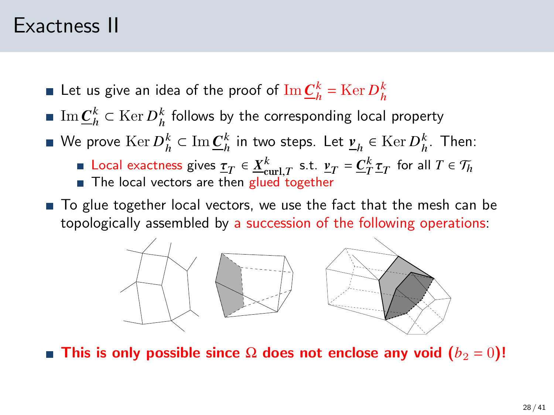### Exactness II

- Let us give an idea of the proof of  $\text{Im}\,\underline{C}_h^k = \text{Ker}\,D_h^k$
- $\mathrm{Im}\,\underline{C}_h^k\subset \mathrm{Ker}\,D_h^k$  follows by the corresponding local property
- We prove  $\operatorname{Ker} D_h^k \subset \operatorname{Im} \underline{C}_h^k$  in two steps. Let  $\underline{\nu}_h \in \operatorname{Ker} D_h^k$ . Then:
	- Local exactness gives  $\underline{\tau}_T \in \underline{X}^k_{\text{curl},T}$  s.t.  $\underline{v}_T = \underline{C}^k_T \underline{\tau}_T$  for all  $T \in \mathcal{T}_h$  $\blacksquare$  The local vectors are then glued together
- To glue together local vectors, we use the fact that the mesh can be topologically assembled by a succession of the following operations:



**■ This is only possible since Ω does not enclose any void (** $b_2 = 0$ )!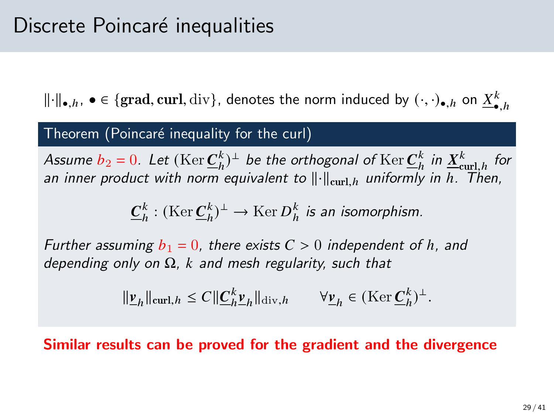$\|\cdot\|_{\bullet,h}, \bullet \in \{\text{grad}, \text{curl}, \text{div}\},\,$  denotes the norm induced by  $(\cdot, \cdot)_{\bullet,h}$  on  $\underline{X}^k_{\bullet,h}$ 

#### Theorem (Poincaré inequality for the curl)

Assume  $b_2 = 0$ . Let  $(\mathrm{Ker} \underline{C}_h^k)^{\perp}$  be the orthogonal of  $\mathrm{Ker} \underline{C}_h^k$  in  $\underline{X}_{\text{curl},h}^k$  for an inner product with norm equivalent to  $\|\cdot\|_{\text{curl }h}$  uniformly in h. Then,

 $\underline{\bm{C}}_h^k :(\operatorname{Ker}\nolimits \underline{\bm{C}}_h^k)^\perp \to \operatorname{Ker}\nolimits D_h^k$  is an isomorphism.

Further assuming  $b_1 = 0$ , there exists  $C > 0$  independent of h, and depending only on  $\Omega$ , k and mesh regularity, such that

$$
\|\underline{\mathbf{v}}_h\|_{\operatorname{curl},h}\leq C\|\underline{\mathbf{C}}_h^k\underline{\mathbf{v}}_h\|_{\operatorname{div},h}\qquad\forall\underline{\mathbf{v}}_h\in(\operatorname{Ker}\underline{\mathbf{C}}_h^k)^{\perp}.
$$

Similar results can be proved for the gradient and the divergence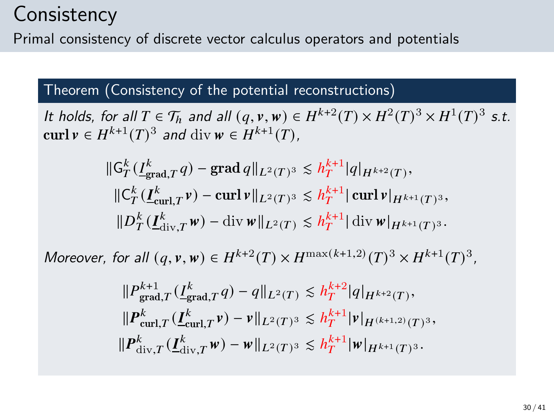### **Consistency**

Primal consistency of discrete vector calculus operators and potentials

#### Theorem (Consistency of the potential reconstructions)

It holds, for all  $T \in \mathcal{T}_h$  and all  $(q, v, w) \in H^{k+2}(T) \times H^2(T)^3 \times H^1(T)^3$  s.t. curl  $v \in H^{k+1}(T)^3$  and div  $w \in H^{k+1}(T)$ ,

$$
\begin{aligned} &\|\mathsf{G}_{T}^{k}(\underline{I}_{\mathrm{grad},T}^{k}q)-\mathrm{grad}\,q\|_{L^{2}(T)^{3}}\lesssim h_{T}^{k+1}|q|_{H^{k+2}(T)},\\ &\|\mathsf{C}_{T}^{k}(\underline{I}_{\mathrm{curl},T}^{k}\nu)-\mathrm{curl}\,\nu\|_{L^{2}(T)^{3}}\lesssim h_{T}^{k+1}|\mathrm{curl}\,\nu|_{H^{k+1}(T)^{3}},\\ &\|D_{T}^{k}(\underline{I}_{\mathrm{div},T}^{k}\nu)-\mathrm{div}\,\nu\|_{L^{2}(T)}\lesssim h_{T}^{k+1}|\mathrm{div}\,\nu|_{H^{k+1}(T)^{3}}.\end{aligned}
$$

Moreover, for all  $(q, v, w) \in H^{k+2}(T) \times H^{\max(k+1,2)}(T)^3 \times H^{k+1}(T)^3$ ,

$$
\label{eq:20} \begin{split} &\|P^{k+1}_{\mathrm{grad},T}( \underline{I}^k_{\mathrm{grad},T} q)-q\|_{L^2(T)}\lesssim h^{k+2}_T|q|_{H^{k+2}(T)},\\ &\|P^k_{\mathrm{curl},T}( \underline{I}^k_{\mathrm{curl},T} \nu)-\nu\|_{L^2(T)^3}\lesssim h^{k+1}_T|\nu|_{H^{(k+1,2)}(T)^3},\\ &\|P^k_{\mathrm{div},T}( \underline{I}^k_{\mathrm{div},T} \nu)-\nu\|_{L^2(T)^3}\lesssim h^{k+1}_T|\nu|_{H^{k+1}(T)^3}. \end{split}
$$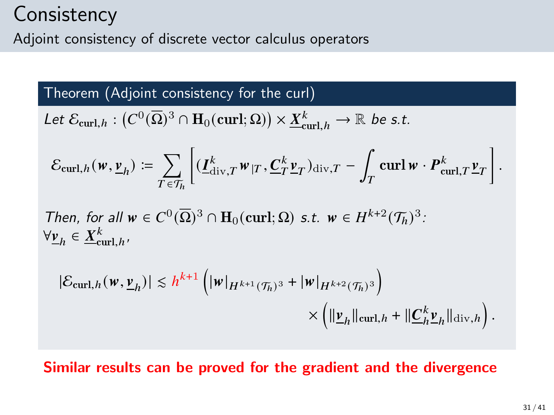### **Consistency**

Adjoint consistency of discrete vector calculus operators

#### Theorem (Adjoint consistency for the curl)

Let 
$$
\mathcal{E}_{\text{curl},h} : (C^0(\overline{\Omega})^3 \cap H_0(\text{curl};\Omega)) \times \underline{X}_{\text{curl},h}^k \to \mathbb{R}
$$
 be s.t.

$$
\mathcal{E}_{\mathrm{curl},h}(\mathbf{w},\underline{\mathbf{v}}_h) \coloneqq \sum_{T \in \mathcal{T}_h} \left[ (\underline{I}_{\mathrm{div},T}^k \mathbf{w}_{|T}, \underline{C}_T^k \underline{\mathbf{v}}_T)_{\mathrm{div},T} - \int_T \mathrm{curl}\,\mathbf{w} \cdot \boldsymbol{P}_{\mathrm{curl},T}^k \underline{\mathbf{v}}_T \right].
$$

Then, for all  $w \in C^0(\overline{\Omega})^3 \cap \mathbf{H}_0(\text{curl};\Omega)$  s.t.  $w \in H^{k+2}(\mathcal{T}_h)^3$ .  $\forall \underline{v}_h \in \underline{X}_{\text{curl},h}^k$ 

$$
\begin{aligned} |\mathcal{E}_{\text{curl},h}(\mathbf{w},\underline{\mathbf{v}}_h)| &\leq h^{k+1} \left( |\mathbf{w}|_{H^{k+1}(\mathcal{T}_h)^3} + |\mathbf{w}|_{H^{k+2}(\mathcal{T}_h)^3} \right) \\ &\times \left( \|\underline{\mathbf{v}}_h\|_{\text{curl},h} + \|\underline{\mathbf{C}}_h^k \underline{\mathbf{v}}_h\|_{\text{div},h} \right). \end{aligned}
$$

#### Similar results can be proved for the gradient and the divergence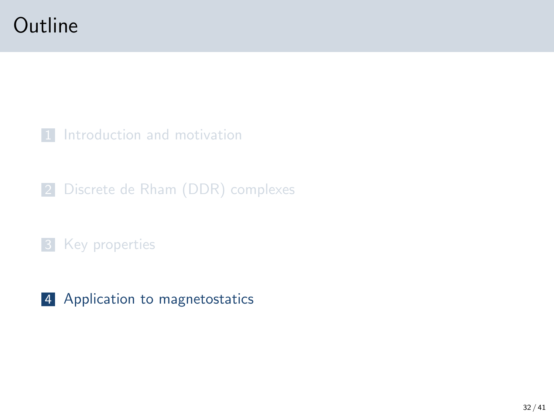### <span id="page-31-0"></span>**Outline**

[Introduction and motivation](#page-2-0)

[Discrete de Rham \(DDR\) complexes](#page-10-0)

#### [Key properties](#page-25-0)

[Application to magnetostatics](#page-31-0)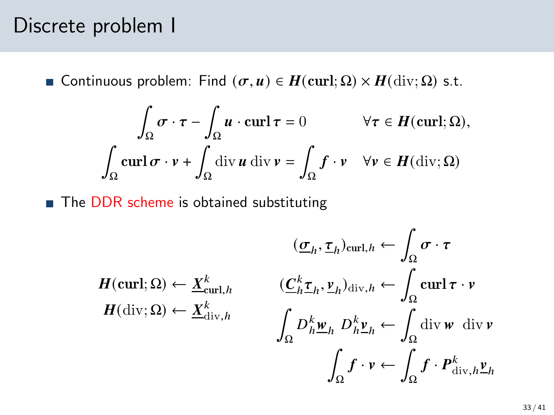### Discrete problem I

**■** Continuous problem: Find  $(σ, u) ∈ H$ (curl; Ω) ×  $H$ (div; Ω) s.t.

$$
\int_{\Omega} \sigma \cdot \tau - \int_{\Omega} u \cdot \operatorname{curl} \tau = 0 \qquad \forall \tau \in H(\operatorname{curl}; \Omega),
$$

$$
\int_{\Omega} \operatorname{curl} \sigma \cdot v + \int_{\Omega} \operatorname{div} u \operatorname{div} v = \int_{\Omega} f \cdot v \quad \forall v \in H(\operatorname{div}; \Omega)
$$

■ The DDR scheme is obtained substituting

$$
(\underline{\sigma}_h, \underline{\tau}_h)_{\text{curl}, h} \leftarrow \int_{\Omega} \sigma \cdot \tau
$$

$$
H(\text{curl}; \Omega) \leftarrow \underline{X}_{\text{curl}, h}^k \qquad (\underline{C}_h^k \underline{\tau}_h, \underline{\nu}_h)_{\text{div}, h} \leftarrow \int_{\Omega} \text{curl}\,\tau \cdot \nu
$$

$$
H(\text{div}; \Omega) \leftarrow \underline{X}_{\text{div}, h}^k \qquad \int_{\Omega} D_h^k \underline{\nu}_h D_h^k \underline{\nu}_h \leftarrow \int_{\Omega} \text{div}\, \nu \text{ div}\, \nu
$$

$$
\int_{\Omega} f \cdot \nu \leftarrow \int_{\Omega} f \cdot P_{\text{div}, h}^k \underline{\nu}_h
$$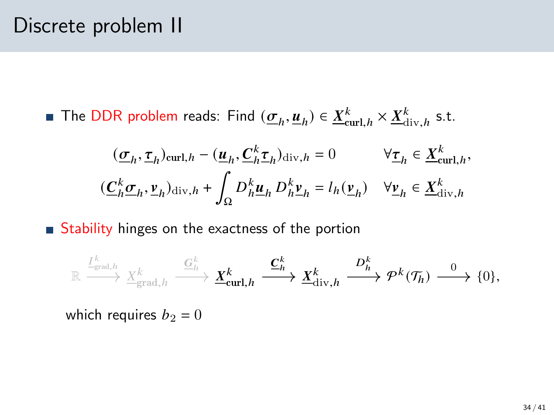### Discrete problem II

The DDR problem reads: Find  $(\underline{\sigma}_h, \underline{u}_h) \in \underline{X}_{\text{curl},h}^k \times \underline{X}_{\text{div},h}^k$  s.t.

$$
\begin{aligned} &\quad (\underline{\sigma}_h, \underline{\tau}_h)_{\mathrm{curl},h} - (\underline{\boldsymbol{u}}_h, \underline{\boldsymbol{C}}_h^k \underline{\boldsymbol{\tau}}_h)_{\mathrm{div},h} = 0 &\quad \forall \underline{\boldsymbol{\tau}}_h \in \underline{X}^k_{\mathrm{curl},h}, \\ &(\underline{\boldsymbol{C}}_h^k \underline{\boldsymbol{\sigma}}_h, \underline{\boldsymbol{\nu}}_h)_{\mathrm{div},h} + \int_{\Omega} D^k_h \underline{\boldsymbol{u}}_h \, D^k_h \underline{\boldsymbol{\nu}}_h = l_h(\underline{\boldsymbol{\nu}}_h) &\quad \forall \underline{\boldsymbol{\nu}}_h \in \underline{X}^k_{\mathrm{div},h} \end{aligned}
$$

Stability hinges on the exactness of the portion

$$
\mathbb{R} \stackrel{\frac{I^k}{\longrightarrow}_{\text{grad},h}}{\longrightarrow} \frac{\chi^k_{\text{grad},h}}{\longrightarrow} \frac{\mathcal{G}^k_{h}}{\longrightarrow} \underline{X}^k_{\text{curl},h} \stackrel{\textstyle \mathbf{C}^k_{h}}{\longrightarrow} \underline{X}^k_{\text{div},h} \stackrel{\textstyle D^k_{h}}{\longrightarrow} \mathcal{P}^k(\mathcal{T}_h) \stackrel{0}{\longrightarrow} \{0\},
$$

which requires  $b_2 = 0$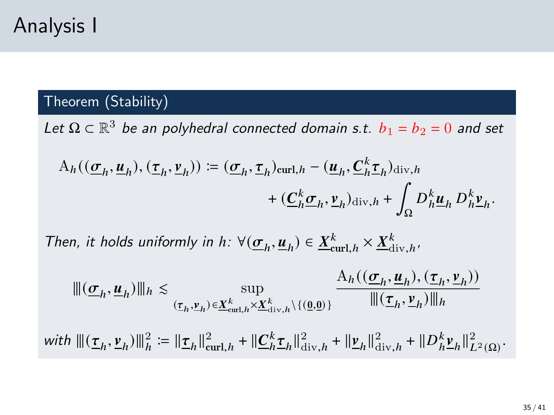#### Theorem (Stability)

Let  $\Omega \subset \mathbb{R}^3$  be an polyhedral connected domain s.t.  $b_1 = b_2 = 0$  and set

$$
A_h((\underline{\sigma}_h, \underline{\boldsymbol{u}}_h), (\underline{\boldsymbol{\tau}}_h, \underline{\boldsymbol{v}}_h)) := (\underline{\boldsymbol{\sigma}}_h, \underline{\boldsymbol{\tau}}_h)_{\text{curl}, h} - (\underline{\boldsymbol{u}}_h, \underline{\boldsymbol{C}}_h^k \underline{\boldsymbol{\tau}}_h)_{\text{div}, h}
$$

$$
+ (\underline{\boldsymbol{C}}_h^k \underline{\boldsymbol{\sigma}}_h, \underline{\boldsymbol{v}}_h)_{\text{div}, h} + \int_{\Omega} D_h^k \underline{\boldsymbol{u}}_h D_h^k \underline{\boldsymbol{v}}_h.
$$

Then, it holds uniformly in  $h: \forall (\underline{\sigma}_h, \underline{u}_h) \in \underline{X}_{\text{curl},h}^k \times \underline{X}_{\text{div},h}^k$ 

$$
\begin{aligned} &\|(\underline{\sigma}_h,\underline{\boldsymbol{u}}_h)\|_h\lesssim\sup_{(\underline{\tau}_h,\underline{\boldsymbol{v}}_h)\in \underline{\boldsymbol{X}}_{\text{curl},h}^k\times \underline{\boldsymbol{X}}_{\text{div},h}^k\backslash\{(\underline{0},\underline{0})\}}\frac{\mathbf{A}_h((\underline{\sigma}_h,\underline{\boldsymbol{u}}_h),(\underline{\tau}_h,\underline{\boldsymbol{v}}_h))}{\|(\underline{\boldsymbol{\tau}}_h,\underline{\boldsymbol{v}}_h)\|_h}\\ &\text{with }\|(\underline{\boldsymbol{\tau}}_h,\underline{\boldsymbol{v}}_h)\|_h^2:=\|\underline{\boldsymbol{\tau}}_h\|_{\text{curl},h}^2+\|\underline{\boldsymbol{C}}_h^k\underline{\boldsymbol{\tau}}_h\|_{\text{div},h}^2+\|\underline{\boldsymbol{v}}_h\|_{\text{div},h}^2+\|D_h^k\underline{\boldsymbol{v}}_h\|_{L^2(\Omega)}^2.\end{aligned}
$$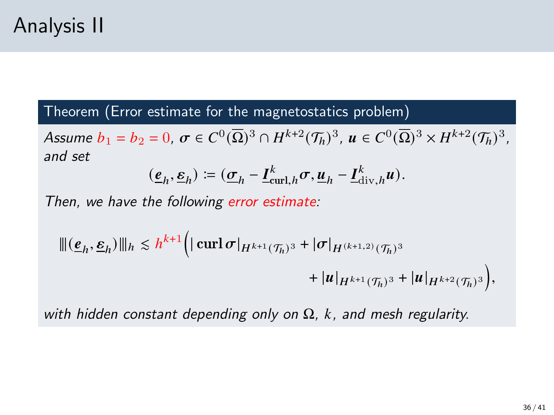#### Theorem (Error estimate for the magnetostatics problem)

Assume  $b_1 = b_2 = 0$ ,  $\sigma \in C^0(\overline{\Omega})^3 \cap H^{k+2}(\mathcal{T}_h)^3$ ,  $u \in C^0(\overline{\Omega})^3 \times H^{k+2}(\mathcal{T}_h)^3$ , and set

$$
(\underline{\boldsymbol{e}}_h,\underline{\boldsymbol{\epsilon}}_h) \coloneqq (\underline{\boldsymbol{\sigma}}_h - \underline{\boldsymbol{I}}_{\operatorname{curl},h}^k \boldsymbol{\sigma}, \underline{\boldsymbol{u}}_h - \underline{\boldsymbol{I}}_{\operatorname{div},h}^k \boldsymbol{u}).
$$

Then, we have the following error estimate:

$$
\begin{aligned} |||(\underline{\mathbf{e}}_h, \underline{\mathbf{e}}_h)|||_h &\leq h^{k+1} \Big( \Big| \operatorname{curl} \boldsymbol{\sigma} |_{H^{k+1}(\mathcal{T}_h)^3} + |\boldsymbol{\sigma}|_{H^{(k+1,2)}(\mathcal{T}_h)^3} \\ &+ |u|_{H^{k+1}(\mathcal{T}_h)^3} + |u|_{H^{k+2}(\mathcal{T}_h)^3} \Big), \end{aligned}
$$

with hidden constant depending only on  $\Omega$ , k, and mesh regularity.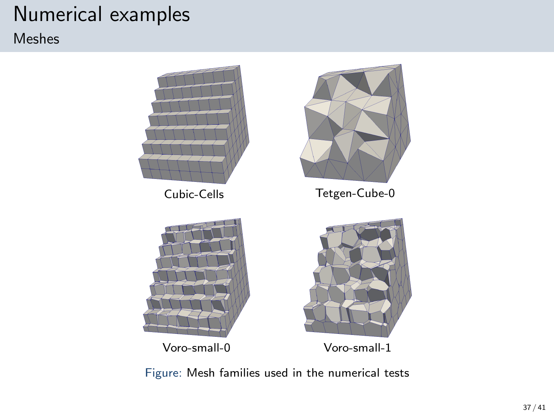### Numerical examples

#### Meshes



Figure: Mesh families used in the numerical tests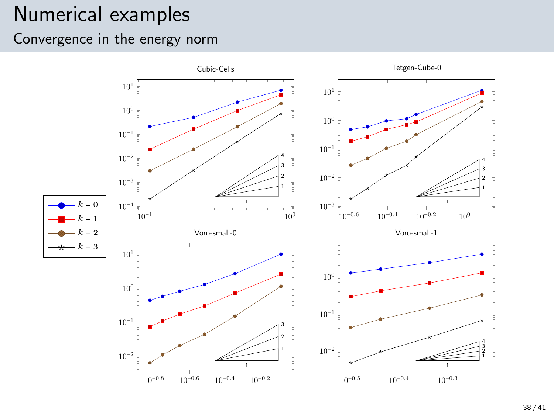### Numerical examples

Convergence in the energy norm

<span id="page-37-0"></span>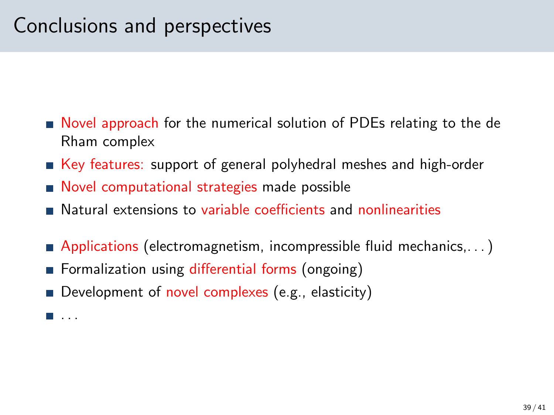### Conclusions and perspectives

- Novel approach for the numerical solution of PDEs relating to the de Rham complex
- Key features: support of general polyhedral meshes and high-order
- Novel computational strategies made possible
- **Natural extensions to variable coefficients and nonlinearities**
- **Applications (electromagnetism, incompressible fluid mechanics,...)**
- **Formalization using differential forms (ongoing)**
- Development of novel complexes (e.g., elasticity)

 $\blacksquare$  . . .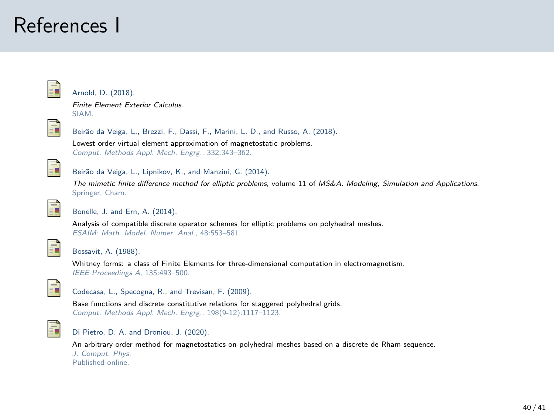### References I

<span id="page-39-1"></span>

Arnold, D. (2018).

Finite Element Exterior Calculus. SIAM.



Beirão da Veiga, L., Brezzi, F., Dassi, F., Marini, L. D., and Russo, A. (2018).

Lowest order virtual element approximation of magnetostatic problems. Comput. Methods Appl. Mech. Engrg., 332:343–362.



Beirão da Veiga, L., Lipnikov, K., and Manzini, G. (2014).

The mimetic finite difference method for elliptic problems, volume 11 of MS&A. Modeling, Simulation and Applications. Springer, Cham.

<span id="page-39-2"></span>

Bonelle, J. and Ern, A. (2014).

Analysis of compatible discrete operator schemes for elliptic problems on polyhedral meshes. ESAIM: Math. Model. Numer. Anal., 48:553–581.

<span id="page-39-0"></span>

Bossavit, A. (1988).

Whitney forms: a class of Finite Elements for three-dimensional computation in electromagnetism. IEEE Proceedings A, 135:493–500.



Codecasa, L., Specogna, R., and Trevisan, F. (2009).

Base functions and discrete constitutive relations for staggered polyhedral grids. Comput. Methods Appl. Mech. Engrg., 198(9-12):1117–1123.

<span id="page-39-3"></span>

Di Pietro, D. A. and Droniou, J. (2020).

An arbitrary-order method for magnetostatics on polyhedral meshes based on a discrete de Rham sequence. J. Comput. Phys. Published online.